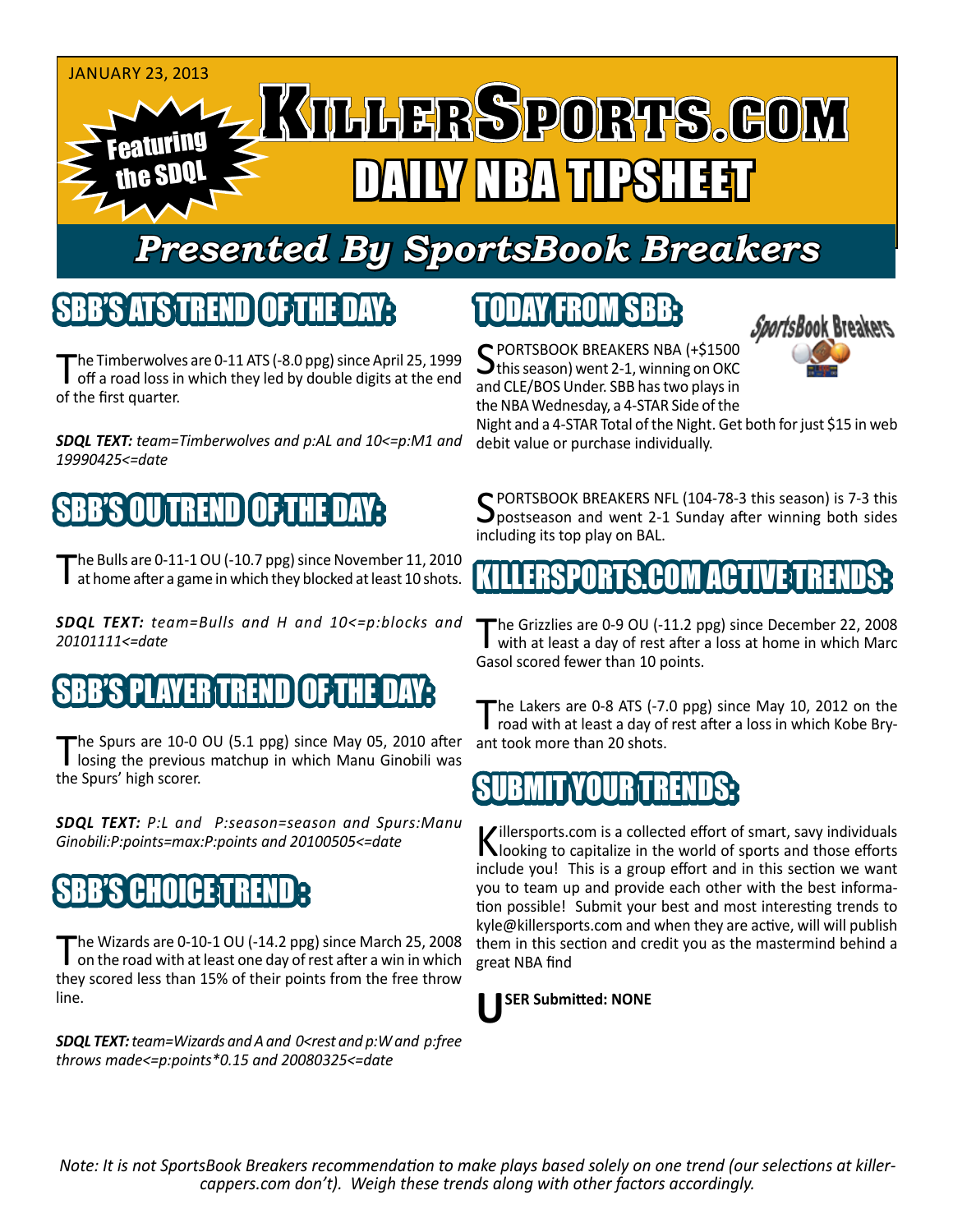

### *Presented By SportsBook Breakers*

#### SBB'S ATSTREND

The Timberwolves are 0-11 ATS (-8.0 ppg) since April 25, 1999<br>
off a road loss in which they led by double digits at the end of the first quarter.

*SDQL TEXT: team=Timberwolves and p:AL and 10<=p:M1 and 19990425<=date*

#### N SREND I

The Bulls are 0-11-1 OU (-10.7 ppg) since November 11, 2010<br>at home after a game in which they blocked at least 10 shots.

*SDQL TEXT: team=Bulls and H and 10<=p:blocks and 20101111<=date*

#### 'S PLAYER TREND

The Spurs are 10-0 OU (5.1 ppg) since May 05, 2010 after losing the previous matchup in which Manu Ginobili was the Spurs' high scorer.

*SDQL TEXT: P:L and P:season=season and Spurs:Manu Ginobili:P:points=max:P:points and 20100505<=date*

#### **CHOICE** T

The Wizards are 0-10-1 OU (-14.2 ppg) since March 25, 2008<br>on the road with at least one day of rest after a win in which they scored less than 15% of their points from the free throw line.

*SDQL TEXT: team=Wizards and A and 0<rest and p:W and p:free throws made<=p:points\*0.15 and 20080325<=date*

## TODAY FROM SBB:

SPORTSBOOK BREAKERS NBA (+\$1500<br>this season) went 2-1, winning on OKC and CLE/BOS Under. SBB has two plays in the NBA Wednesday, a 4-STAR Side of the



Night and a 4-STAR Total of the Night. Get both for just \$15 in web debit value or purchase individually.

SPORTSBOOK BREAKERS NFL (104-78-3 this season) is 7-3 this<br>postseason and went 2-1 Sunday after winning both sides including its top play on BAL.

#### KILLERSPORTS.COM ACTIVE TRENDS:

The Grizzlies are 0-9 OU (-11.2 ppg) since December 22, 2008<br>with at least a day of rest after a loss at home in which Marc Gasol scored fewer than 10 points.

The Lakers are 0-8 ATS (-7.0 ppg) since May 10, 2012 on the road with at least a day of rest after a loss in which Kobe Bryant took more than 20 shots.

#### SUBMIT YOUR TRENDS

Killersports.com is a collected effort of smart, savy individuals<br>Nooking to capitalize in the world of sports and those efforts include you! This is a group effort and in this section we want you to team up and provide each other with the best information possible! Submit your best and most interesting trends to kyle@killersports.com and when they are active, will will publish them in this section and credit you as the mastermind behind a great NBA find



*Note: It is not SportsBook Breakers recommendation to make plays based solely on one trend (our selections at killercappers.com don't). Weigh these trends along with other factors accordingly.*